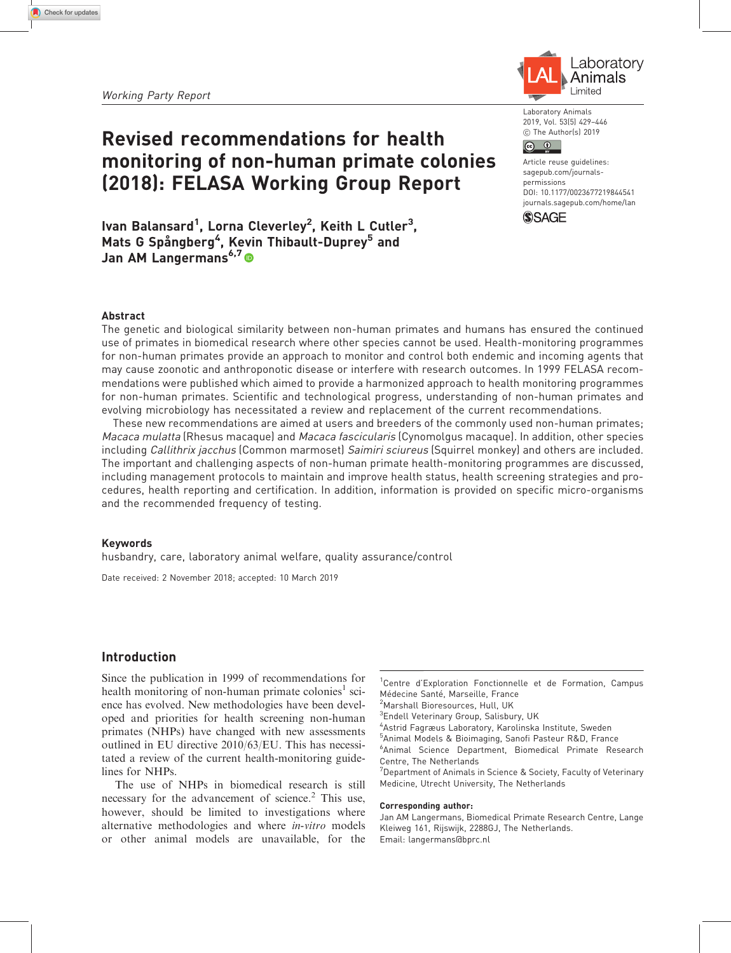# Revised recommendations for health monitoring of non-human primate colonies (2018): FELASA Working Group Report



Laboratory Animals 2019, Vol. 53(5) 429–446 C The Author(s) 2019

#### $\circledcirc$   $\circledcirc$

Article reuse guidelines: [sagepub.com/journals](https://uk.sagepub.com/en-gb/journals-permissions)[permissions](https://uk.sagepub.com/en-gb/journals-permissions) DOI: [10.1177/0023677219844541](https://doi.org/10.1177/0023677219844541) <journals.sagepub.com/home/lan>



lvan Balansard<sup>1</sup>, Lorna Cleverley<sup>2</sup>, Keith L Cutler<sup>3</sup>, Mats G Spångberg<sup>4</sup>, Kevin Thibault-Duprey<sup>5</sup> and Jan AM Langermans<sup>6,7</sup>

#### Abstract

The genetic and biological similarity between non-human primates and humans has ensured the continued use of primates in biomedical research where other species cannot be used. Health-monitoring programmes for non-human primates provide an approach to monitor and control both endemic and incoming agents that may cause zoonotic and anthroponotic disease or interfere with research outcomes. In 1999 FELASA recommendations were published which aimed to provide a harmonized approach to health monitoring programmes for non-human primates. Scientific and technological progress, understanding of non-human primates and evolving microbiology has necessitated a review and replacement of the current recommendations.

These new recommendations are aimed at users and breeders of the commonly used non-human primates; Macaca mulatta (Rhesus macaque) and Macaca fascicularis (Cynomolgus macaque). In addition, other species including Callithrix jacchus (Common marmoset) Saimiri sciureus (Squirrel monkey) and others are included. The important and challenging aspects of non-human primate health-monitoring programmes are discussed, including management protocols to maintain and improve health status, health screening strategies and procedures, health reporting and certification. In addition, information is provided on specific micro-organisms and the recommended frequency of testing.

#### Keywords

husbandry, care, laboratory animal welfare, quality assurance/control

Date received: 2 November 2018; accepted: 10 March 2019

# Introduction

Since the publication in 1999 of recommendations for health monitoring of non-human primate colonies<sup>1</sup> science has evolved. New methodologies have been developed and priorities for health screening non-human primates (NHPs) have changed with new assessments outlined in EU directive 2010/63/EU. This has necessitated a review of the current health-monitoring guidelines for NHPs.

The use of NHPs in biomedical research is still necessary for the advancement of science.<sup>2</sup> This use, however, should be limited to investigations where alternative methodologies and where in-vitro models or other animal models are unavailable, for the <sup>2</sup> Marshall Bioresources, Hull, UK

- 3 Endell Veterinary Group, Salisbury, UK
- 4 Astrid Fagræus Laboratory, Karolinska Institute, Sweden
- 5 Animal Models & Bioimaging, Sanofi Pasteur R&D, France

6 Animal Science Department, Biomedical Primate Research Centre, The Netherlands

<sup>7</sup>Department of Animals in Science & Society, Faculty of Veterinary Medicine, Utrecht University, The Netherlands

#### Corresponding author:

Jan AM Langermans, Biomedical Primate Research Centre, Lange Kleiweg 161, Rijswijk, 2288GJ, The Netherlands. Email: langermans@bprc.nl

<sup>&</sup>lt;sup>1</sup>Centre d'Exploration Fonctionnelle et de Formation, Campus Médecine Santé, Marseille, France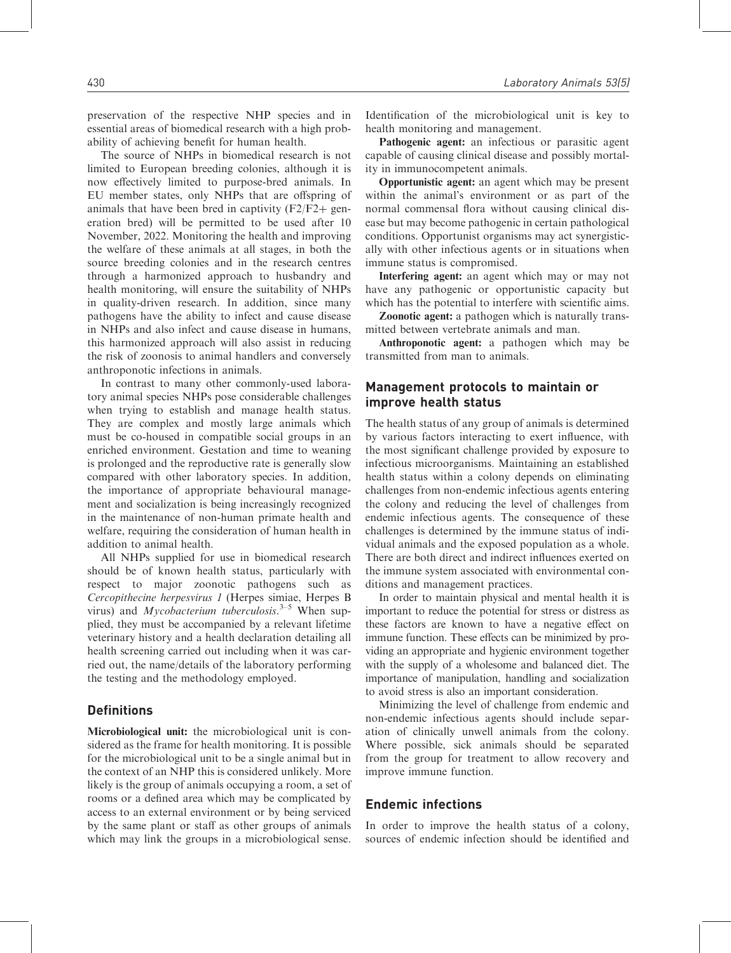preservation of the respective NHP species and in essential areas of biomedical research with a high probability of achieving benefit for human health.

The source of NHPs in biomedical research is not limited to European breeding colonies, although it is now effectively limited to purpose-bred animals. In EU member states, only NHPs that are offspring of animals that have been bred in captivity  $(F2/F2 + gen$ eration bred) will be permitted to be used after 10 November, 2022. Monitoring the health and improving the welfare of these animals at all stages, in both the source breeding colonies and in the research centres through a harmonized approach to husbandry and health monitoring, will ensure the suitability of NHPs in quality-driven research. In addition, since many pathogens have the ability to infect and cause disease in NHPs and also infect and cause disease in humans, this harmonized approach will also assist in reducing the risk of zoonosis to animal handlers and conversely anthroponotic infections in animals.

In contrast to many other commonly-used laboratory animal species NHPs pose considerable challenges when trying to establish and manage health status. They are complex and mostly large animals which must be co-housed in compatible social groups in an enriched environment. Gestation and time to weaning is prolonged and the reproductive rate is generally slow compared with other laboratory species. In addition, the importance of appropriate behavioural management and socialization is being increasingly recognized in the maintenance of non-human primate health and welfare, requiring the consideration of human health in addition to animal health.

All NHPs supplied for use in biomedical research should be of known health status, particularly with respect to major zoonotic pathogens such as Cercopithecine herpesvirus 1 (Herpes simiae, Herpes B virus) and *Mycobacterium tuberculosis*.<sup>3–5</sup> When supplied, they must be accompanied by a relevant lifetime veterinary history and a health declaration detailing all health screening carried out including when it was carried out, the name/details of the laboratory performing the testing and the methodology employed.

## **Definitions**

Microbiological unit: the microbiological unit is considered as the frame for health monitoring. It is possible for the microbiological unit to be a single animal but in the context of an NHP this is considered unlikely. More likely is the group of animals occupying a room, a set of rooms or a defined area which may be complicated by access to an external environment or by being serviced by the same plant or staff as other groups of animals which may link the groups in a microbiological sense. Identification of the microbiological unit is key to health monitoring and management.

Pathogenic agent: an infectious or parasitic agent capable of causing clinical disease and possibly mortality in immunocompetent animals.

Opportunistic agent: an agent which may be present within the animal's environment or as part of the normal commensal flora without causing clinical disease but may become pathogenic in certain pathological conditions. Opportunist organisms may act synergistically with other infectious agents or in situations when immune status is compromised.

Interfering agent: an agent which may or may not have any pathogenic or opportunistic capacity but which has the potential to interfere with scientific aims.

Zoonotic agent: a pathogen which is naturally transmitted between vertebrate animals and man.

Anthroponotic agent: a pathogen which may be transmitted from man to animals.

# Management protocols to maintain or improve health status

The health status of any group of animals is determined by various factors interacting to exert influence, with the most significant challenge provided by exposure to infectious microorganisms. Maintaining an established health status within a colony depends on eliminating challenges from non-endemic infectious agents entering the colony and reducing the level of challenges from endemic infectious agents. The consequence of these challenges is determined by the immune status of individual animals and the exposed population as a whole. There are both direct and indirect influences exerted on the immune system associated with environmental conditions and management practices.

In order to maintain physical and mental health it is important to reduce the potential for stress or distress as these factors are known to have a negative effect on immune function. These effects can be minimized by providing an appropriate and hygienic environment together with the supply of a wholesome and balanced diet. The importance of manipulation, handling and socialization to avoid stress is also an important consideration.

Minimizing the level of challenge from endemic and non-endemic infectious agents should include separation of clinically unwell animals from the colony. Where possible, sick animals should be separated from the group for treatment to allow recovery and improve immune function.

## Endemic infections

In order to improve the health status of a colony, sources of endemic infection should be identified and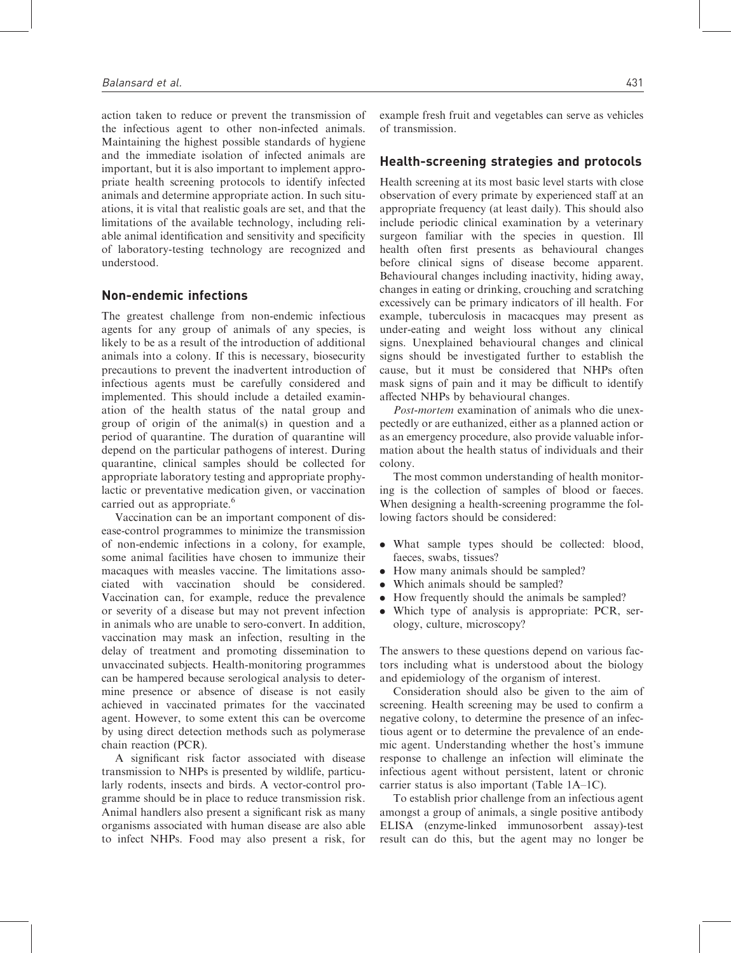action taken to reduce or prevent the transmission of the infectious agent to other non-infected animals. Maintaining the highest possible standards of hygiene and the immediate isolation of infected animals are important, but it is also important to implement appropriate health screening protocols to identify infected animals and determine appropriate action. In such situations, it is vital that realistic goals are set, and that the limitations of the available technology, including reliable animal identification and sensitivity and specificity of laboratory-testing technology are recognized and understood.

## Non-endemic infections

The greatest challenge from non-endemic infectious agents for any group of animals of any species, is likely to be as a result of the introduction of additional animals into a colony. If this is necessary, biosecurity precautions to prevent the inadvertent introduction of infectious agents must be carefully considered and implemented. This should include a detailed examination of the health status of the natal group and group of origin of the animal(s) in question and a period of quarantine. The duration of quarantine will depend on the particular pathogens of interest. During quarantine, clinical samples should be collected for appropriate laboratory testing and appropriate prophylactic or preventative medication given, or vaccination carried out as appropriate.<sup>6</sup>

Vaccination can be an important component of disease-control programmes to minimize the transmission of non-endemic infections in a colony, for example, some animal facilities have chosen to immunize their macaques with measles vaccine. The limitations associated with vaccination should be considered. Vaccination can, for example, reduce the prevalence or severity of a disease but may not prevent infection in animals who are unable to sero-convert. In addition, vaccination may mask an infection, resulting in the delay of treatment and promoting dissemination to unvaccinated subjects. Health-monitoring programmes can be hampered because serological analysis to determine presence or absence of disease is not easily achieved in vaccinated primates for the vaccinated agent. However, to some extent this can be overcome by using direct detection methods such as polymerase chain reaction (PCR).

A significant risk factor associated with disease transmission to NHPs is presented by wildlife, particularly rodents, insects and birds. A vector-control programme should be in place to reduce transmission risk. Animal handlers also present a significant risk as many organisms associated with human disease are also able to infect NHPs. Food may also present a risk, for example fresh fruit and vegetables can serve as vehicles of transmission.

#### Health-screening strategies and protocols

Health screening at its most basic level starts with close observation of every primate by experienced staff at an appropriate frequency (at least daily). This should also include periodic clinical examination by a veterinary surgeon familiar with the species in question. Ill health often first presents as behavioural changes before clinical signs of disease become apparent. Behavioural changes including inactivity, hiding away, changes in eating or drinking, crouching and scratching excessively can be primary indicators of ill health. For example, tuberculosis in macacques may present as under-eating and weight loss without any clinical signs. Unexplained behavioural changes and clinical signs should be investigated further to establish the cause, but it must be considered that NHPs often mask signs of pain and it may be difficult to identify affected NHPs by behavioural changes.

Post-mortem examination of animals who die unexpectedly or are euthanized, either as a planned action or as an emergency procedure, also provide valuable information about the health status of individuals and their colony.

The most common understanding of health monitoring is the collection of samples of blood or faeces. When designing a health-screening programme the following factors should be considered:

- . What sample types should be collected: blood, faeces, swabs, tissues?
- . How many animals should be sampled?
- . Which animals should be sampled?
- . How frequently should the animals be sampled?
- . Which type of analysis is appropriate: PCR, serology, culture, microscopy?

The answers to these questions depend on various factors including what is understood about the biology and epidemiology of the organism of interest.

Consideration should also be given to the aim of screening. Health screening may be used to confirm a negative colony, to determine the presence of an infectious agent or to determine the prevalence of an endemic agent. Understanding whether the host's immune response to challenge an infection will eliminate the infectious agent without persistent, latent or chronic carrier status is also important (Table 1A–1C).

To establish prior challenge from an infectious agent amongst a group of animals, a single positive antibody ELISA (enzyme-linked immunosorbent assay)-test result can do this, but the agent may no longer be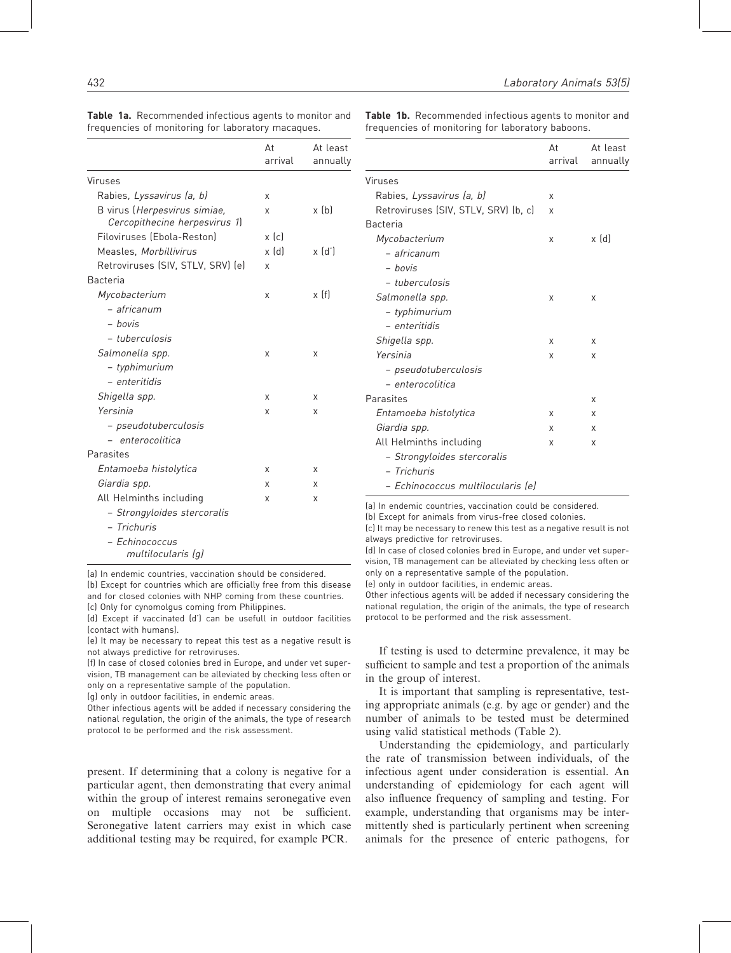|                                                               | At<br>arrival         | At least<br>annually |
|---------------------------------------------------------------|-----------------------|----------------------|
| Viruses                                                       |                       |                      |
| Rabies, Lyssavirus (a, b)                                     | X                     |                      |
| B virus (Herpesvirus simiae,<br>Cercopithecine herpesvirus 1) | x                     | $x$ (b)              |
| Filoviruses (Ebola-Reston)                                    | $x$ (c)               |                      |
| Measles, Morbillivirus                                        | $x$ $\lceil d \rceil$ | $x$ $(d')$           |
| Retroviruses (SIV, STLV, SRV) (e)                             | X                     |                      |
| <b>Bacteria</b>                                               |                       |                      |
| Mycobacterium                                                 | X                     | x(f)                 |
| – africanum                                                   |                       |                      |
| - hovis                                                       |                       |                      |
| - tuberculosis                                                |                       |                      |
| Salmonella spp.                                               | X                     | x                    |
| - typhimurium                                                 |                       |                      |
| - enteritidis                                                 |                       |                      |
| Shigella spp.                                                 | X                     | x                    |
| Yersinia                                                      | X                     | X                    |
| – pseudotuberculosis                                          |                       |                      |
| - enterocolitica                                              |                       |                      |
| Parasites                                                     |                       |                      |
| Entamoeba histolytica                                         | X                     | x                    |
| Giardia spp.                                                  | x                     | x                    |
| All Helminths including                                       | x                     | X                    |
| - Strongyloides stercoralis                                   |                       |                      |
| - Trichuris                                                   |                       |                      |
| - Echinococcus<br>multilocularis (q)                          |                       |                      |

Table 1a. Recommended infectious agents to monitor and frequencies of monitoring for laboratory macaques.

Table 1b. Recommended infectious agents to monitor and frequencies of monitoring for laboratory baboons.

|                                      | At<br>arrival | At least<br>annually |
|--------------------------------------|---------------|----------------------|
| Viruses                              |               |                      |
| Rabies, Lyssavirus (a, b)            | x             |                      |
| Retroviruses (SIV, STLV, SRV) (b, c) | x             |                      |
| Bacteria                             |               |                      |
| Mycobacterium                        | x             | x (d)                |
| – africanum                          |               |                      |
| - bovis                              |               |                      |
| <i>– tuberculosis</i>                |               |                      |
| Salmonella spp.                      | X             | X                    |
| - typhimurium                        |               |                      |
| – enteritidis                        |               |                      |
| Shigella spp.                        | x             | X                    |
| Yersinia                             | x             | X                    |
| – pseudotuberculosis                 |               |                      |
| <i>– enterocolitica</i>              |               |                      |
| Parasites                            |               | X                    |
| Entamoeba histolytica                | x             | X                    |
| Giardia spp.                         | x             | X                    |
| All Helminths including              | x             | x                    |
| - Strongyloides stercoralis          |               |                      |
| - Trichuris                          |               |                      |
| – Echinococcus multilocularis (e)    |               |                      |

(a) In endemic countries, vaccination could be considered.

(b) Except for animals from virus-free closed colonies.

(c) It may be necessary to renew this test as a negative result is not always predictive for retroviruses.

(d) In case of closed colonies bred in Europe, and under vet supervision, TB management can be alleviated by checking less often or only on a representative sample of the population.

(e) only in outdoor facilities, in endemic areas.

Other infectious agents will be added if necessary considering the national regulation, the origin of the animals, the type of research protocol to be performed and the risk assessment.

If testing is used to determine prevalence, it may be sufficient to sample and test a proportion of the animals in the group of interest.

It is important that sampling is representative, testing appropriate animals (e.g. by age or gender) and the number of animals to be tested must be determined using valid statistical methods (Table 2).

Understanding the epidemiology, and particularly the rate of transmission between individuals, of the infectious agent under consideration is essential. An understanding of epidemiology for each agent will also influence frequency of sampling and testing. For example, understanding that organisms may be intermittently shed is particularly pertinent when screening animals for the presence of enteric pathogens, for

(a) In endemic countries, vaccination should be considered.

(b) Except for countries which are officially free from this disease and for closed colonies with NHP coming from these countries. (c) Only for cynomolgus coming from Philippines.

(d) Except if vaccinated (d') can be usefull in outdoor facilities (contact with humans).

(e) It may be necessary to repeat this test as a negative result is not always predictive for retroviruses.

(f) In case of closed colonies bred in Europe, and under vet supervision, TB management can be alleviated by checking less often or only on a representative sample of the population.

(g) only in outdoor facilities, in endemic areas.

Other infectious agents will be added if necessary considering the national regulation, the origin of the animals, the type of research protocol to be performed and the risk assessment.

present. If determining that a colony is negative for a particular agent, then demonstrating that every animal within the group of interest remains seronegative even on multiple occasions may not be sufficient. Seronegative latent carriers may exist in which case additional testing may be required, for example PCR.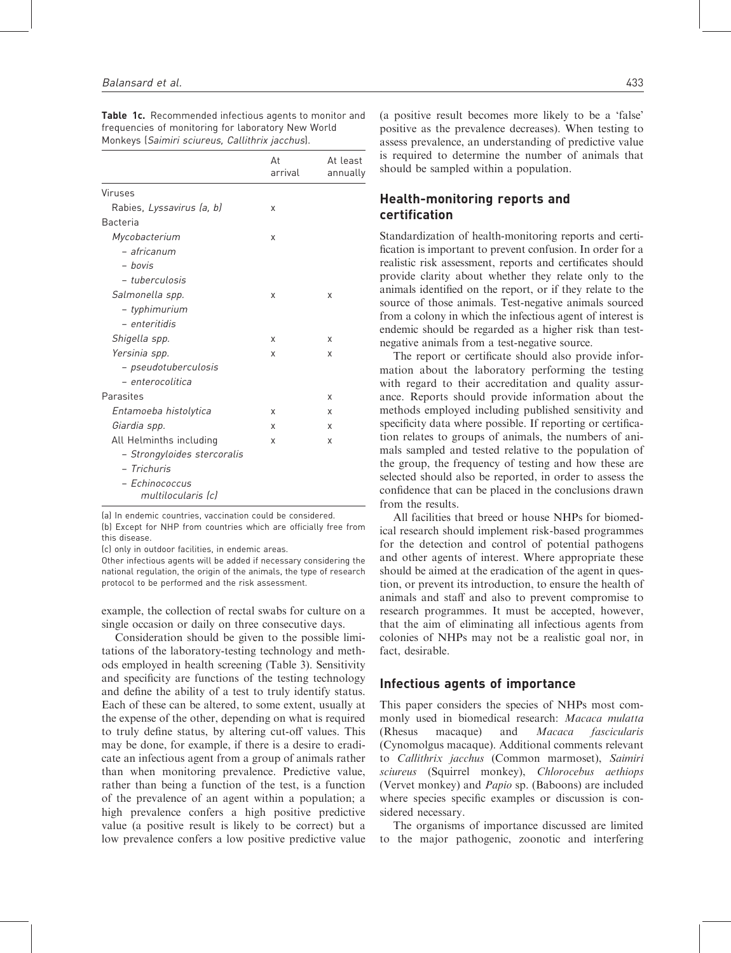|                                      | At<br>arrival | At least<br>annually |
|--------------------------------------|---------------|----------------------|
| Viruses                              |               |                      |
| Rabies, Lyssavirus (a, b)            | x             |                      |
| Bacteria                             |               |                      |
| Mycobacterium                        | X             |                      |
| - africanum                          |               |                      |
| - bovis                              |               |                      |
| <i>- tuberculosis</i>                |               |                      |
| Salmonella spp.                      | X             | X                    |
| - typhimurium                        |               |                      |
| - enteritidis                        |               |                      |
| Shigella spp.                        | х             | X                    |
| Yersinia spp.                        | x             | X                    |
| - pseudotuberculosis                 |               |                      |
| - enterocolitica                     |               |                      |
| Parasites                            |               | X                    |
| Entamoeba histolytica                | x             | X                    |
| Giardia spp.                         | x             | X                    |
| All Helminths including              | x             | X                    |
| - Strongyloides stercoralis          |               |                      |
| - Trichuris                          |               |                      |
| - Echinococcus<br>multilocularis (c) |               |                      |

Table 1c. Recommended infectious agents to monitor and frequencies of monitoring for laboratory New World Monkeys (Saimiri sciureus, Callithrix jacchus).

(a) In endemic countries, vaccination could be considered.

(b) Except for NHP from countries which are officially free from this disease.

(c) only in outdoor facilities, in endemic areas.

Other infectious agents will be added if necessary considering the national regulation, the origin of the animals, the type of research protocol to be performed and the risk assessment.

example, the collection of rectal swabs for culture on a single occasion or daily on three consecutive days.

Consideration should be given to the possible limitations of the laboratory-testing technology and methods employed in health screening (Table 3). Sensitivity and specificity are functions of the testing technology and define the ability of a test to truly identify status. Each of these can be altered, to some extent, usually at the expense of the other, depending on what is required to truly define status, by altering cut-off values. This may be done, for example, if there is a desire to eradicate an infectious agent from a group of animals rather than when monitoring prevalence. Predictive value, rather than being a function of the test, is a function of the prevalence of an agent within a population; a high prevalence confers a high positive predictive value (a positive result is likely to be correct) but a low prevalence confers a low positive predictive value (a positive result becomes more likely to be a 'false' positive as the prevalence decreases). When testing to assess prevalence, an understanding of predictive value is required to determine the number of animals that should be sampled within a population.

# Health-monitoring reports and certification

Standardization of health-monitoring reports and certification is important to prevent confusion. In order for a realistic risk assessment, reports and certificates should provide clarity about whether they relate only to the animals identified on the report, or if they relate to the source of those animals. Test-negative animals sourced from a colony in which the infectious agent of interest is endemic should be regarded as a higher risk than testnegative animals from a test-negative source.

The report or certificate should also provide information about the laboratory performing the testing with regard to their accreditation and quality assurance. Reports should provide information about the methods employed including published sensitivity and specificity data where possible. If reporting or certification relates to groups of animals, the numbers of animals sampled and tested relative to the population of the group, the frequency of testing and how these are selected should also be reported, in order to assess the confidence that can be placed in the conclusions drawn from the results.

All facilities that breed or house NHPs for biomedical research should implement risk-based programmes for the detection and control of potential pathogens and other agents of interest. Where appropriate these should be aimed at the eradication of the agent in question, or prevent its introduction, to ensure the health of animals and staff and also to prevent compromise to research programmes. It must be accepted, however, that the aim of eliminating all infectious agents from colonies of NHPs may not be a realistic goal nor, in fact, desirable.

#### Infectious agents of importance

This paper considers the species of NHPs most commonly used in biomedical research: Macaca mulatta (Rhesus macaque) and Macaca fascicularis (Cynomolgus macaque). Additional comments relevant to Callithrix jacchus (Common marmoset), Saimiri sciureus (Squirrel monkey), Chlorocebus aethiops (Vervet monkey) and Papio sp. (Baboons) are included where species specific examples or discussion is considered necessary.

The organisms of importance discussed are limited to the major pathogenic, zoonotic and interfering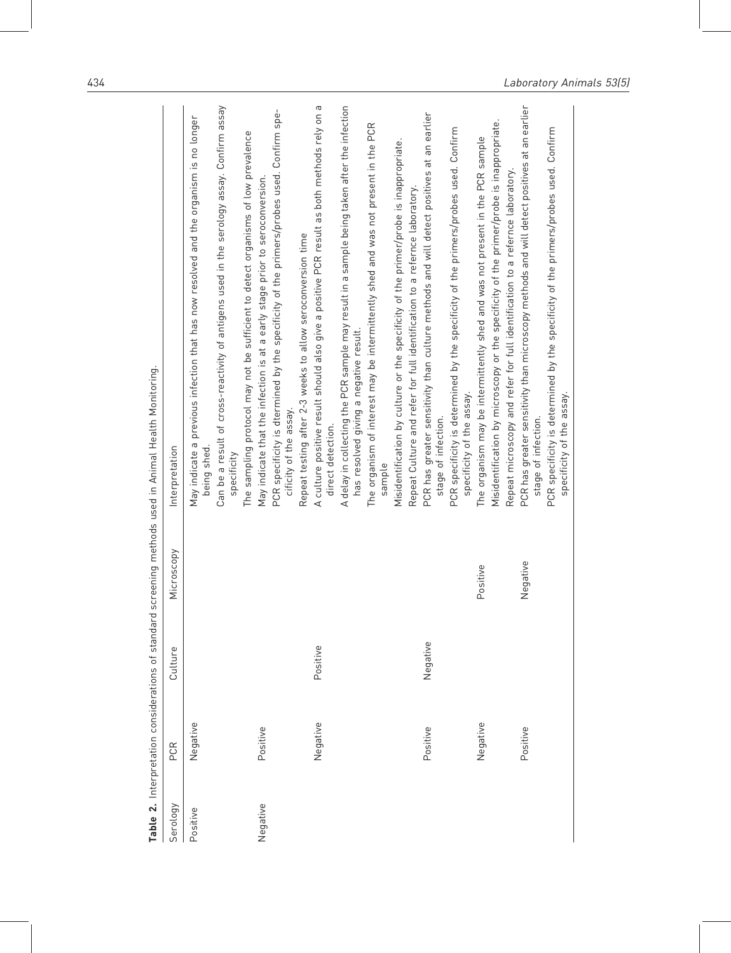|          |          |          |            | Table 2. Interpretation considerations of standard screening methods used in Animal Health Monitoring.                                |
|----------|----------|----------|------------|---------------------------------------------------------------------------------------------------------------------------------------|
| Serology | PCR      | Culture  | Microscopy | Interpretation                                                                                                                        |
| Positive | Negative |          |            | May indicate a previous infection that has now resolved and the organism is no longer<br>being shed                                   |
|          |          |          |            | Can be a result of cross-reactivity of antigens used in the serology assay. Confirm assay<br>specificity                              |
|          |          |          |            | The sampling protocol may not be sufficient to detect organisms of low prevalence                                                     |
| Negative | Positive |          |            | May indicate that the infection is at a early stage prior to seroconversion.                                                          |
|          |          |          |            | PCR specificity is dtermined by the specificity of the primers/probes used. Confirm spe-<br>cificity of the assay.                    |
|          |          |          |            | Repeat testing after 2-3 weeks to allow seroconversion time                                                                           |
|          | Negative | Positive |            | A culture positive result should also give a positive PCR result as both methods rely on a<br>direct detection.                       |
|          |          |          |            | A delay in collecting the PCR sample may result in a sample being taken after the infection<br>has resolved giving a negative result. |
|          |          |          |            | The organism of interest may be intermittently shed and was not present in the PCR<br>sample                                          |
|          |          |          |            | Misidentification by culture or the specificity of the primer/probe is inappropriate.                                                 |
|          |          |          |            | Repeat Culture and refer for full identification to a refernce laboratory.                                                            |
|          | Positive | Negative |            | PCR has greater sensitivity than culture methods and will detect positives at an earlier<br>stage of infection.                       |
|          |          |          |            | PCR specificity is determined by the specificity of the primers/probes used. Confirm<br>specificity of the assay.                     |
|          | Negative |          | Positive   | The organism may be intermittently shed and was not present in the PCR sample                                                         |
|          |          |          |            | Misidentification by microscopy or the specificity of the primer/probe is inappropriate.                                              |
|          |          |          |            | Repeat microscopy and refer for full identification to a refernce laboratory                                                          |
|          | Positive |          | Negative   | PCR has greater sensitivity than microscopy methods and will detect positives at an earlier<br>stage of infection.                    |
|          |          |          |            | PCR specificity is determined by the specificity of the primers/probes used. Confirm<br>specificity of the assay.                     |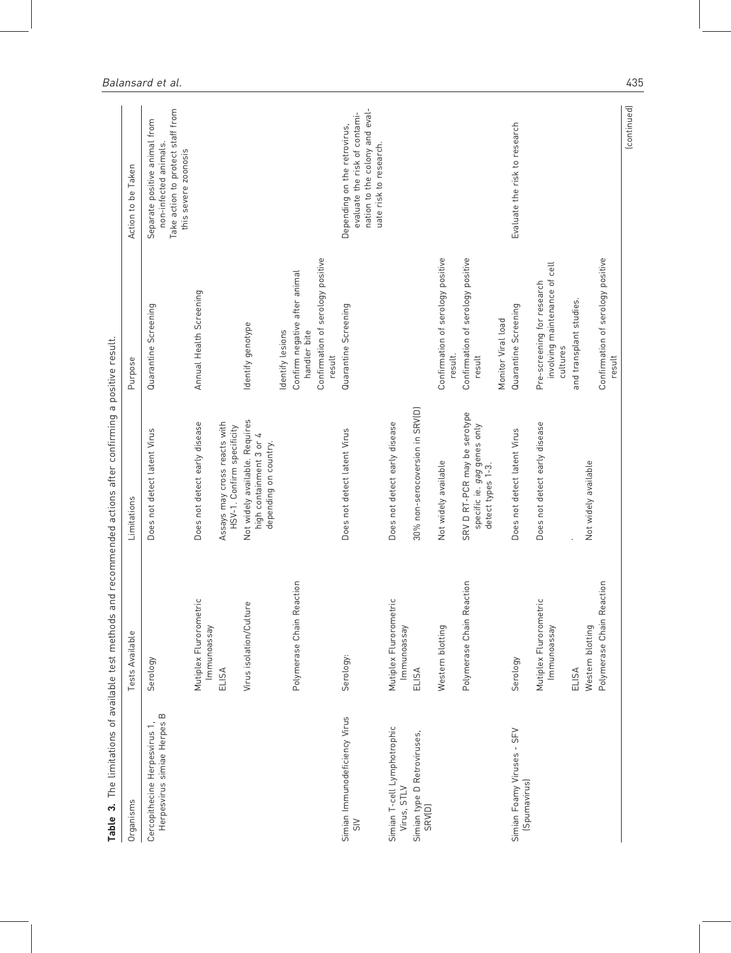| Organisms                                                                 | Tests Available                       | Limitations                                                                        | Purpose                                                                 | Action to be Taken                                                                                                        |
|---------------------------------------------------------------------------|---------------------------------------|------------------------------------------------------------------------------------|-------------------------------------------------------------------------|---------------------------------------------------------------------------------------------------------------------------|
| $\mathbf m$<br>Herpesvirus simiae Herpes<br>Cercopithecine Herpesvirus 1, | Serology                              | Does not detect latent Virus                                                       | Quarantine Screening                                                    | Take action to protect staff from<br>Separate positive animal from<br>non-infected animals.<br>this severe zoonosis       |
|                                                                           | Mutiplex Flurorometric<br>lmmunoassay | Does not detect early disease                                                      | Annual Health Screening                                                 |                                                                                                                           |
|                                                                           | ELISA                                 | Assays may cross reacts with<br>HSV-1. Confirm specificity                         |                                                                         |                                                                                                                           |
|                                                                           | Virus isolation/Culture               | Not widely available. Requires<br>high containment 3 or 4<br>depending on country. | Identify genotype                                                       |                                                                                                                           |
|                                                                           |                                       |                                                                                    | Identify lesions                                                        |                                                                                                                           |
|                                                                           | Polymerase Chain Reaction             |                                                                                    | Confirm negative after animal<br>handler bite                           |                                                                                                                           |
|                                                                           |                                       |                                                                                    | Confirmation of serology positive<br>result                             |                                                                                                                           |
| Simian Immunodeficiency Virus<br>$rac{1}{5}$                              | Serology:                             | Does not detect latent Virus                                                       | Quarantine Screening                                                    | nation to the colony and eval-<br>evaluate the risk of contami-<br>Depending on the retrovirus,<br>uate risk to research. |
| Simian T-cell Lymphotrophic<br>Virus, STLV                                | Mutiplex Flurorometric<br>Immunoassay | Does not detect early disease                                                      |                                                                         |                                                                                                                           |
| Simian type D Retroviruses,<br>SRV(D)                                     | ELISA                                 | 30% non-serocoversion in SRV(D)                                                    |                                                                         |                                                                                                                           |
|                                                                           | Western blotting                      | Not widely available                                                               | Confirmation of serology positive<br>result.                            |                                                                                                                           |
|                                                                           | Polymerase Chain Reaction             | SRV D RT-PCR may be serotype<br>specific ie. gag genes only<br>detect types 1-3.   | Confirmation of serology positive<br>result                             |                                                                                                                           |
|                                                                           |                                       |                                                                                    | Monitor Viral load                                                      |                                                                                                                           |
| Simian Foamy Viruses - SFV<br>(Spumavirus)                                | Serology                              | Does not detect latent Virus                                                       | Quarantine Screening                                                    | Evaluate the risk to research                                                                                             |
|                                                                           | Mutiplex Flurorometric<br>lmmunoassay | Does not detect early disease                                                      | involving maintenance of cell<br>Pre-screening for research<br>cultures |                                                                                                                           |
|                                                                           | ELISA                                 |                                                                                    | and transplant studies.                                                 |                                                                                                                           |
|                                                                           | Western blotting                      | Not widely available                                                               |                                                                         |                                                                                                                           |
|                                                                           | Polymerase Chain Reaction             |                                                                                    | Confirmation of serology positive<br>result                             |                                                                                                                           |
|                                                                           |                                       |                                                                                    |                                                                         | (continued)                                                                                                               |

 $\mathbf{r}^{\mathrm{max}}$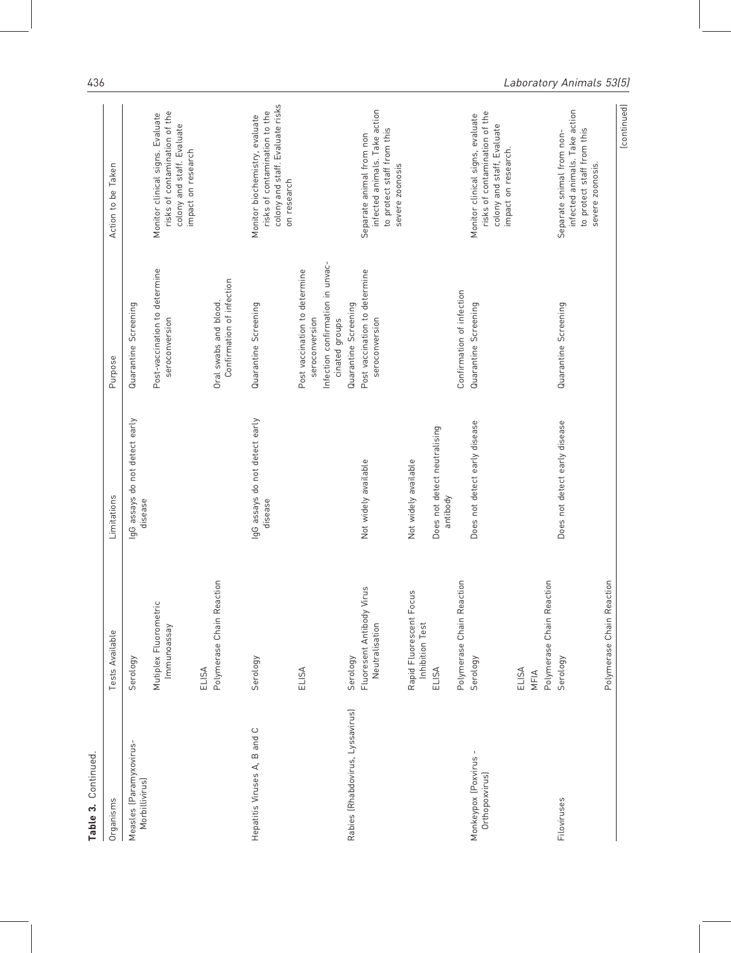| Continued<br>Table 3.                     |                                             |                                           |                                                    |                                                                                                                        |
|-------------------------------------------|---------------------------------------------|-------------------------------------------|----------------------------------------------------|------------------------------------------------------------------------------------------------------------------------|
| Organisms                                 | Tests Available                             | Limitations                               | Purpose                                            | Action to be Taken                                                                                                     |
| Measles (Paramyxovirus-<br>Morbillivirus) | Serology                                    | IgG assays do not detect early<br>disease | Quarantine Screening                               |                                                                                                                        |
|                                           | Mutiplex Fluorometric<br>lmmunoassay        |                                           | Post-vaccination to determine<br>seroconversion    | risks of contamination of the<br>Monitor clinical signs. Evaluate<br>colony and staff. Evaluate<br>impact on research  |
|                                           | Polymerase Chain Reaction<br>ELISA          |                                           | Confirmation of infection<br>Oral swabs and blood. |                                                                                                                        |
| Hepatitis Viruses A, B and C              | Serology                                    | IgG assays do not detect early<br>disease | Quarantine Screening                               | colony and staff. Evaluate risks<br>risks of contamination to the<br>Monitor biochemistry, evaluate<br>on research     |
|                                           | ELISA                                       |                                           | Post vaccination to determine<br>seroconversion    |                                                                                                                        |
|                                           |                                             |                                           | Infection confirmation in unvac-<br>cinated groups |                                                                                                                        |
| Rabies (Rhabdovirus, Lyssavirus)          | Serology                                    |                                           | Quarantine Screening                               |                                                                                                                        |
|                                           | Fluoresent Antibody Virus<br>Neutralisation | Not widely available                      | Post vaccination to determine<br>seroconversion    | infected animals. Take action<br>to protect staff from this<br>Separate animal from non<br>severe zoonosis             |
|                                           | Rapid Fluorescent Focus<br>Inhibition Test  | Not widely available                      |                                                    |                                                                                                                        |
|                                           | ELISA                                       | Does not detect neutralising<br>antibody  |                                                    |                                                                                                                        |
|                                           | Polymerase Chain Reaction                   |                                           | Confirmation of infection                          |                                                                                                                        |
| Monkeypox (Poxvirus -<br>Orthopoxvirus)   | Serology                                    | Does not detect early disease             | Quarantine Screening                               | risks of contamination of the<br>Monitor clinical signs, evaluate<br>colony and staff, Evaluate<br>impact on research. |
|                                           | Polymerase Chain Reaction<br>ELISA<br>MFIA  |                                           |                                                    |                                                                                                                        |
| Filoviruses                               | Serology                                    | Does not detect early disease             | Quarantine Screening                               | infected animals. Take action<br>to protect staff from this<br>Separate snimal from non-                               |
|                                           | Polymerase Chain Reaction                   |                                           |                                                    | severe zoonosis.                                                                                                       |
|                                           |                                             |                                           |                                                    | (continued)                                                                                                            |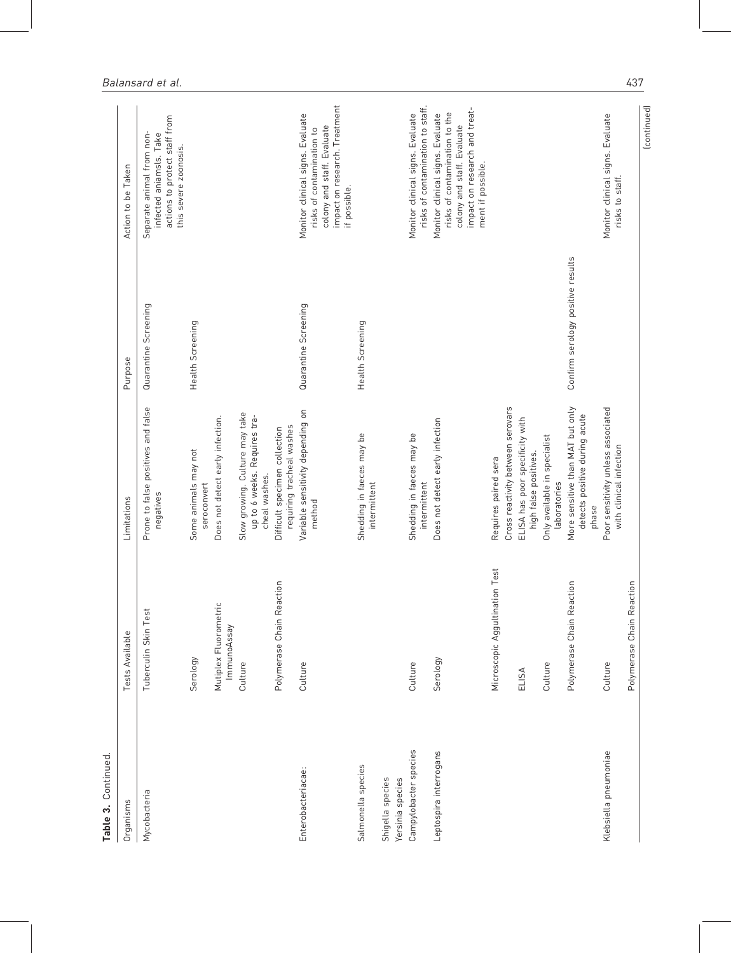| Table 3. Continued                   |                                      |                                                                                               |                                   |                                                                                                                                                       |
|--------------------------------------|--------------------------------------|-----------------------------------------------------------------------------------------------|-----------------------------------|-------------------------------------------------------------------------------------------------------------------------------------------------------|
| Organisms                            | Tests Available                      | Limitations                                                                                   | Purpose                           | Action to be Taken                                                                                                                                    |
| Mycobacteria                         | Tuberculin Skin Test                 | Prone to false positives and false<br>negatives                                               | Quarantine Screening              | actions to protect staff from<br>Separate animal from non-<br>infected aniamsls. Take<br>this severe zoonosis.                                        |
|                                      | Serology                             | Some animals may not<br>seroconvert                                                           | Health Screening                  |                                                                                                                                                       |
|                                      | Mutiplex Fluorometrio<br>ImmunoAssay | Does not detect early infection.                                                              |                                   |                                                                                                                                                       |
|                                      | Culture                              | Slow growing. Culture may take<br>up to 6 weeks. Requires tra-<br>cheal washes.               |                                   |                                                                                                                                                       |
|                                      | Polymerase Chain Reaction            | requiring tracheal washes<br>Difficult specimen collection                                    |                                   |                                                                                                                                                       |
| Enterobacteriacae:                   | Culture                              | Variable sensitivity depending on<br>method                                                   | Quarantine Screening              | impact on research. Treatment<br>Monitor clinical signs. Evaluate<br>colony and staff. Evaluate<br>risks of contamination to<br>if possible.          |
| Salmonella species                   |                                      | Shedding in faeces may be<br>intermittent                                                     | Health Screening                  |                                                                                                                                                       |
| Shigella species<br>Yersinia species |                                      |                                                                                               |                                   |                                                                                                                                                       |
| Campylobacter species                | Culture                              | Shedding in faeces may be<br>intermittent                                                     |                                   | risks of contamination to staff.<br>Monitor clinical signs. Evaluate                                                                                  |
| Leptospira interrogans               | Serology                             | Does not detect early infection                                                               |                                   | impact on research and treat-<br>risks of contamination to the<br>Monitor clinical signs. Evaluate<br>colony and staff. Evaluate<br>ment if possible. |
|                                      | Microscopic Aggultination Test       | Requires paired sera                                                                          |                                   |                                                                                                                                                       |
|                                      | ELISA                                | Cross reactivity between serovars<br>ELISA has poor specificity with<br>high false positives. |                                   |                                                                                                                                                       |
|                                      | Culture                              | Only available in specialist<br>laboratories                                                  |                                   |                                                                                                                                                       |
|                                      | Polymerase Chain Reaction            | More sensitive than MAT but only<br>detects positive during acute<br>phase                    | Confirm serology positive results |                                                                                                                                                       |
| Klebsiella pneumoniae                | Culture                              | Poor sensitivity unless associated<br>with clinical infection                                 |                                   | Monitor clinical signs. Evaluate<br>risks to staff.                                                                                                   |
|                                      | Polymerase Chain Reaction            |                                                                                               |                                   | (continued)                                                                                                                                           |
|                                      |                                      |                                                                                               |                                   |                                                                                                                                                       |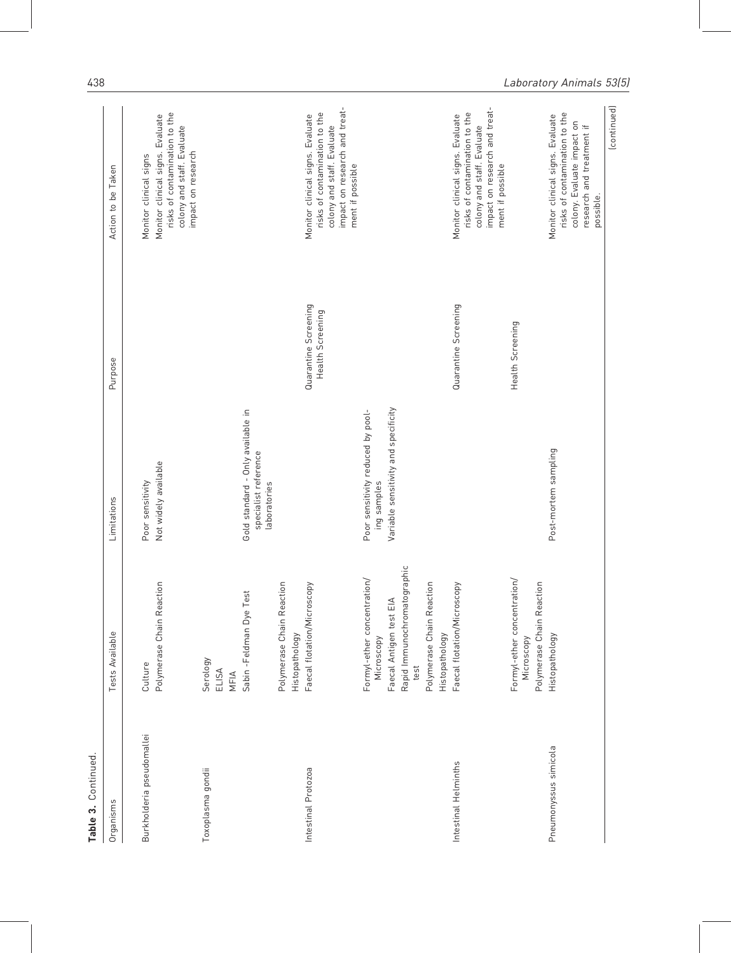| Continued<br>Table 3.     |                                                                                                                                                                |                                                                                          |                                          |                                                                                                                                                      |
|---------------------------|----------------------------------------------------------------------------------------------------------------------------------------------------------------|------------------------------------------------------------------------------------------|------------------------------------------|------------------------------------------------------------------------------------------------------------------------------------------------------|
| Organisms                 | Tests Available                                                                                                                                                | Limitations                                                                              | Purpose                                  | Action to be Taken                                                                                                                                   |
| Burkholderia pseudomallei | Polymerase Chain Reaction<br>Culture                                                                                                                           | Not widely available<br>Poor sensitivity                                                 |                                          | risks of contamination to the<br>Monitor clinical signs. Evaluate<br>colony and staff. Evaluate<br>impact on research<br>Monitor clinical signs      |
| Toxoplasma gondii         | est<br>Sabin -Feldman Dye T<br>Serology<br>ELISA<br>MFIA                                                                                                       | Gold standard - Only available in<br>specialist reference<br>laboratories                |                                          |                                                                                                                                                      |
| Intestinal Protozoa       | Polymerase Chain Reaction<br>Faecal flotation/Microscopy<br>Histopathology                                                                                     |                                                                                          | Quarantine Screening<br>Health Screening | impact on research and treat-<br>risks of contamination to the<br>Monitor clinical signs. Evaluate<br>colony and staff. Evaluate<br>ment if possible |
|                           | Rapid Immunochromatographic<br>Formyl-ether concentration/<br>Polymerase Chain Reaction<br>∢<br>Faecal Antigen test El<br>Histopathology<br>Microscopy<br>test | Variable sensitivity and specificity<br>Poor sensitivity reduced by pool-<br>ing samples |                                          |                                                                                                                                                      |
| Intestinal Helminths      | Faecal flotation/Microscopy                                                                                                                                    |                                                                                          | Quarantine Screening                     | impact on research and treat-<br>risks of contamination to the<br>Monitor clinical signs. Evaluate<br>colony and staff. Evaluate<br>ment if possible |
|                           | Formyl-ether concentration/<br>Polymerase Chain Reaction<br>Microscopy                                                                                         |                                                                                          | Health Screening                         |                                                                                                                                                      |
| Pneumonyssus simicola     | Histopathology                                                                                                                                                 | Post-mortem sampling                                                                     |                                          | risks of contamination to the<br>Monitor clinical signs. Evaluate<br>colony. Evaluate impact on<br>research and treatment if<br>possible.            |
|                           |                                                                                                                                                                |                                                                                          |                                          | (continued)                                                                                                                                          |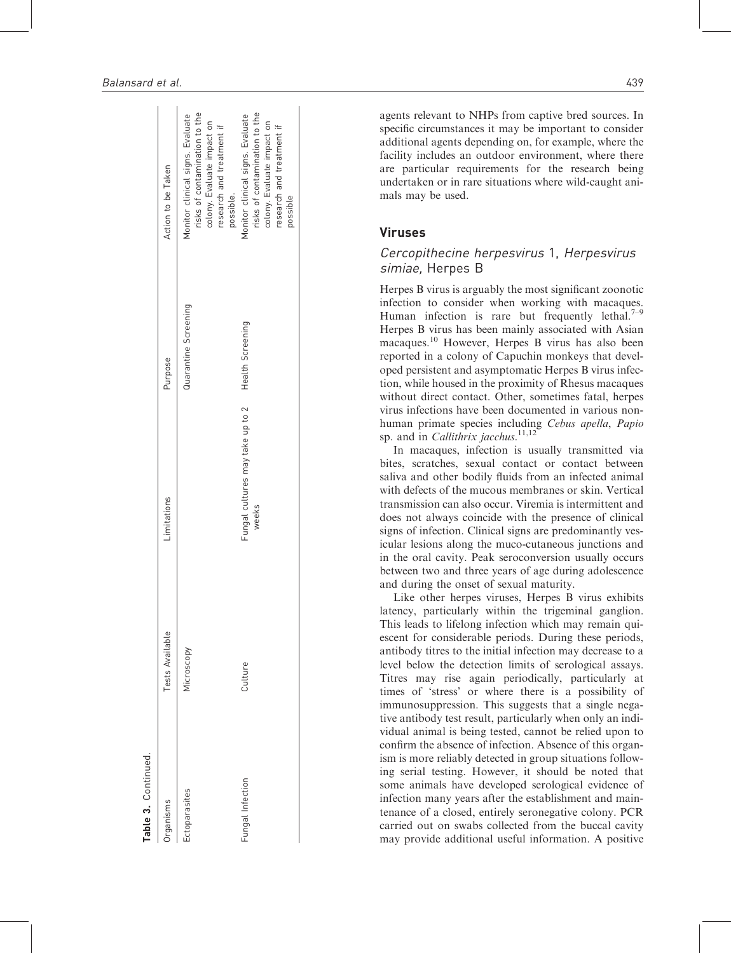| rganisms        | Tests Available | Limitations                               | Purpose              | Action to be Taken                                                                                                                        |
|-----------------|-----------------|-------------------------------------------|----------------------|-------------------------------------------------------------------------------------------------------------------------------------------|
| ctoparasites    | Microscopy      |                                           | Quarantine Screening | risks of contamination to the<br>Monitor clinical signs. Evaluate<br>colony. Evaluate impact on<br>research and treatment if<br>possible. |
| ungal Infection | Culture         | Fungal cultures may take up to 2<br>weeks | Health Screening     | risks of contamination to the<br>Monitor clinical signs. Evaluate<br>colony. Evaluate impact on<br>research and treatment if<br>possible  |

**Table 3. Continued** 

Continued.

agents relevant to NHPs from captive bred sources. In specific circumstances it may be important to consider additional agents depending on, for example, where the facility includes an outdoor environment, where there are particular requirements for the research being undertaken or in rare situations where wild-caught animals may be used.

## Viruses

## Cercopithecine herpesvirus 1, Herpesvirus simiae, Herpes B

Herpes B virus is arguably the most significant zoonotic infection to consider when working with macaques. Human infection is rare but frequently lethal. $7-9$ Herpes B virus has been mainly associated with Asian macaques.<sup>10</sup> However, Herpes B virus has also been reported in a colony of Capuchin monkeys that developed persistent and asymptomatic Herpes B virus infection, while housed in the proximity of Rhesus macaques without direct contact. Other, sometimes fatal, herpes virus infections have been documented in various nonhuman primate species including Cebus apella, Papio sp. and in *Callithrix jacchus*.<sup>11,12</sup>

In macaques, infection is usually transmitted via bites, scratches, sexual contact or contact between saliva and other bodily fluids from an infected animal with defects of the mucous membranes or skin. Vertical transmission can also occur. Viremia is intermittent and does not always coincide with the presence of clinical signs of infection. Clinical signs are predominantly vesicular lesions along the muco-cutaneous junctions and in the oral cavity. Peak seroconversion usually occurs between two and three years of age during adolescence and during the onset of sexual maturity.

Like other herpes viruses, Herpes B virus exhibits latency, particularly within the trigeminal ganglion. This leads to lifelong infection which may remain quiescent for considerable periods. During these periods, antibody titres to the initial infection may decrease to a level below the detection limits of serological assays. Titres may rise again periodically, particularly at times of 'stress' or where there is a possibility of immunosuppression. This suggests that a single negative antibody test result, particularly when only an individual animal is being tested, cannot be relied upon to confirm the absence of infection. Absence of this organism is more reliably detected in group situations following serial testing. However, it should be noted that some animals have developed serological evidence of infection many years after the establishment and maintenance of a closed, entirely seronegative colony. PCR carried out on swabs collected from the buccal cavity may provide additional useful information. A positive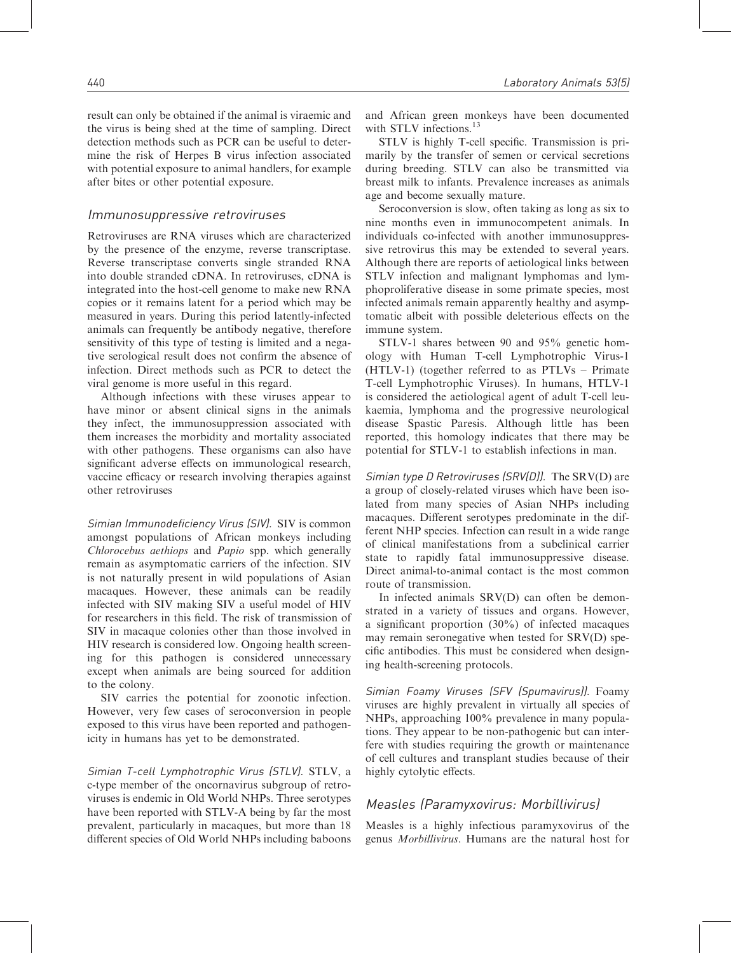result can only be obtained if the animal is viraemic and the virus is being shed at the time of sampling. Direct detection methods such as PCR can be useful to determine the risk of Herpes B virus infection associated with potential exposure to animal handlers, for example after bites or other potential exposure.

## Immunosuppressive retroviruses

Retroviruses are RNA viruses which are characterized by the presence of the enzyme, reverse transcriptase. Reverse transcriptase converts single stranded RNA into double stranded cDNA. In retroviruses, cDNA is integrated into the host-cell genome to make new RNA copies or it remains latent for a period which may be measured in years. During this period latently-infected animals can frequently be antibody negative, therefore sensitivity of this type of testing is limited and a negative serological result does not confirm the absence of infection. Direct methods such as PCR to detect the viral genome is more useful in this regard.

Although infections with these viruses appear to have minor or absent clinical signs in the animals they infect, the immunosuppression associated with them increases the morbidity and mortality associated with other pathogens. These organisms can also have significant adverse effects on immunological research, vaccine efficacy or research involving therapies against other retroviruses

Simian Immunodeficiency Virus (SIV). SIV is common amongst populations of African monkeys including Chlorocebus aethiops and Papio spp. which generally remain as asymptomatic carriers of the infection. SIV is not naturally present in wild populations of Asian macaques. However, these animals can be readily infected with SIV making SIV a useful model of HIV for researchers in this field. The risk of transmission of SIV in macaque colonies other than those involved in HIV research is considered low. Ongoing health screening for this pathogen is considered unnecessary except when animals are being sourced for addition to the colony.

SIV carries the potential for zoonotic infection. However, very few cases of seroconversion in people exposed to this virus have been reported and pathogenicity in humans has yet to be demonstrated.

Simian T-cell Lymphotrophic Virus (STLV). STLV, a c-type member of the oncornavirus subgroup of retroviruses is endemic in Old World NHPs. Three serotypes have been reported with STLV-A being by far the most prevalent, particularly in macaques, but more than 18 different species of Old World NHPs including baboons and African green monkeys have been documented with STLV infections.<sup>13</sup>

STLV is highly T-cell specific. Transmission is primarily by the transfer of semen or cervical secretions during breeding. STLV can also be transmitted via breast milk to infants. Prevalence increases as animals age and become sexually mature.

Seroconversion is slow, often taking as long as six to nine months even in immunocompetent animals. In individuals co-infected with another immunosuppressive retrovirus this may be extended to several years. Although there are reports of aetiological links between STLV infection and malignant lymphomas and lymphoproliferative disease in some primate species, most infected animals remain apparently healthy and asymptomatic albeit with possible deleterious effects on the immune system.

STLV-1 shares between 90 and 95% genetic homology with Human T-cell Lymphotrophic Virus-1 (HTLV-1) (together referred to as PTLVs – Primate T-cell Lymphotrophic Viruses). In humans, HTLV-1 is considered the aetiological agent of adult T-cell leukaemia, lymphoma and the progressive neurological disease Spastic Paresis. Although little has been reported, this homology indicates that there may be potential for STLV-1 to establish infections in man.

Simian type D Retroviruses (SRV(D)). The SRV(D) are a group of closely-related viruses which have been isolated from many species of Asian NHPs including macaques. Different serotypes predominate in the different NHP species. Infection can result in a wide range of clinical manifestations from a subclinical carrier state to rapidly fatal immunosuppressive disease. Direct animal-to-animal contact is the most common route of transmission.

In infected animals SRV(D) can often be demonstrated in a variety of tissues and organs. However, a significant proportion (30%) of infected macaques may remain seronegative when tested for SRV(D) specific antibodies. This must be considered when designing health-screening protocols.

Simian Foamy Viruses (SFV (Spumavirus)). Foamy viruses are highly prevalent in virtually all species of NHPs, approaching 100% prevalence in many populations. They appear to be non-pathogenic but can interfere with studies requiring the growth or maintenance of cell cultures and transplant studies because of their highly cytolytic effects.

# Measles (Paramyxovirus: Morbillivirus)

Measles is a highly infectious paramyxovirus of the genus Morbillivirus. Humans are the natural host for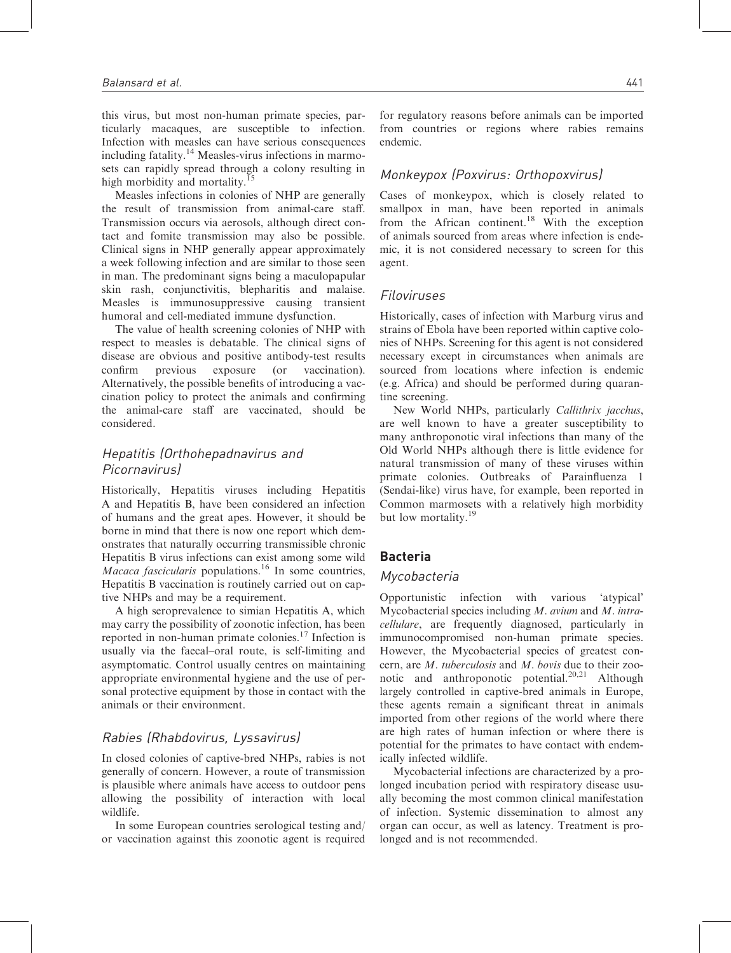this virus, but most non-human primate species, particularly macaques, are susceptible to infection. Infection with measles can have serious consequences including fatality.<sup>14</sup> Measles-virus infections in marmosets can rapidly spread through a colony resulting in high morbidity and mortality.<sup>15</sup>

Measles infections in colonies of NHP are generally the result of transmission from animal-care staff. Transmission occurs via aerosols, although direct contact and fomite transmission may also be possible. Clinical signs in NHP generally appear approximately a week following infection and are similar to those seen in man. The predominant signs being a maculopapular skin rash, conjunctivitis, blepharitis and malaise. Measles is immunosuppressive causing transient humoral and cell-mediated immune dysfunction.

The value of health screening colonies of NHP with respect to measles is debatable. The clinical signs of disease are obvious and positive antibody-test results confirm previous exposure (or vaccination). Alternatively, the possible benefits of introducing a vaccination policy to protect the animals and confirming the animal-care staff are vaccinated, should be considered.

# Hepatitis (Orthohepadnavirus and Picornavirus)

Historically, Hepatitis viruses including Hepatitis A and Hepatitis B, have been considered an infection of humans and the great apes. However, it should be borne in mind that there is now one report which demonstrates that naturally occurring transmissible chronic Hepatitis B virus infections can exist among some wild *Macaca fascicularis* populations.<sup>16</sup> In some countries, Hepatitis B vaccination is routinely carried out on captive NHPs and may be a requirement.

A high seroprevalence to simian Hepatitis A, which may carry the possibility of zoonotic infection, has been reported in non-human primate colonies.<sup>17</sup> Infection is usually via the faecal–oral route, is self-limiting and asymptomatic. Control usually centres on maintaining appropriate environmental hygiene and the use of personal protective equipment by those in contact with the animals or their environment.

# Rabies (Rhabdovirus, Lyssavirus)

In closed colonies of captive-bred NHPs, rabies is not generally of concern. However, a route of transmission is plausible where animals have access to outdoor pens allowing the possibility of interaction with local wildlife.

In some European countries serological testing and/ or vaccination against this zoonotic agent is required for regulatory reasons before animals can be imported from countries or regions where rabies remains endemic.

# Monkeypox (Poxvirus: Orthopoxvirus)

Cases of monkeypox, which is closely related to smallpox in man, have been reported in animals from the African continent.<sup>18</sup> With the exception of animals sourced from areas where infection is endemic, it is not considered necessary to screen for this agent.

## Filoviruses

Historically, cases of infection with Marburg virus and strains of Ebola have been reported within captive colonies of NHPs. Screening for this agent is not considered necessary except in circumstances when animals are sourced from locations where infection is endemic (e.g. Africa) and should be performed during quarantine screening.

New World NHPs, particularly Callithrix jacchus, are well known to have a greater susceptibility to many anthroponotic viral infections than many of the Old World NHPs although there is little evidence for natural transmission of many of these viruses within primate colonies. Outbreaks of Parainfluenza 1 (Sendai-like) virus have, for example, been reported in Common marmosets with a relatively high morbidity but low mortality.<sup>19</sup>

# Bacteria

## Mycobacteria

Opportunistic infection with various 'atypical' Mycobacterial species including M. avium and M. intracellulare, are frequently diagnosed, particularly in immunocompromised non-human primate species. However, the Mycobacterial species of greatest concern, are M. tuberculosis and M. bovis due to their zoonotic and anthroponotic potential. $20,21$  Although largely controlled in captive-bred animals in Europe, these agents remain a significant threat in animals imported from other regions of the world where there are high rates of human infection or where there is potential for the primates to have contact with endemically infected wildlife.

Mycobacterial infections are characterized by a prolonged incubation period with respiratory disease usually becoming the most common clinical manifestation of infection. Systemic dissemination to almost any organ can occur, as well as latency. Treatment is prolonged and is not recommended.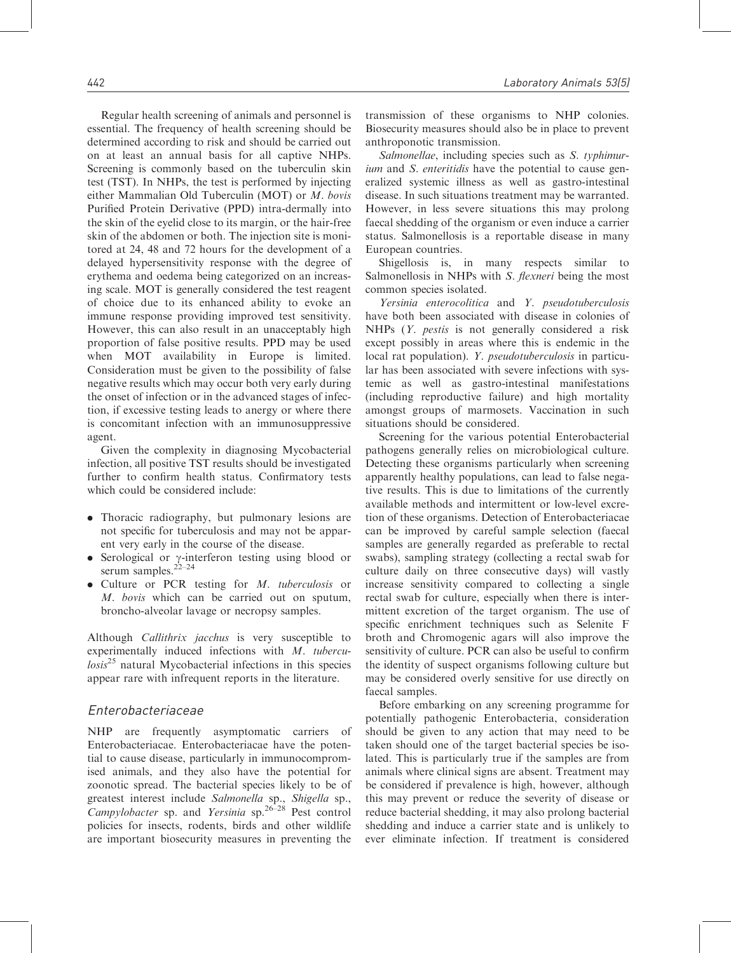Regular health screening of animals and personnel is essential. The frequency of health screening should be determined according to risk and should be carried out on at least an annual basis for all captive NHPs. Screening is commonly based on the tuberculin skin test (TST). In NHPs, the test is performed by injecting either Mammalian Old Tuberculin (MOT) or M. bovis Purified Protein Derivative (PPD) intra-dermally into the skin of the eyelid close to its margin, or the hair-free skin of the abdomen or both. The injection site is monitored at 24, 48 and 72 hours for the development of a delayed hypersensitivity response with the degree of erythema and oedema being categorized on an increasing scale. MOT is generally considered the test reagent of choice due to its enhanced ability to evoke an immune response providing improved test sensitivity. However, this can also result in an unacceptably high proportion of false positive results. PPD may be used when MOT availability in Europe is limited. Consideration must be given to the possibility of false negative results which may occur both very early during the onset of infection or in the advanced stages of infection, if excessive testing leads to anergy or where there is concomitant infection with an immunosuppressive agent.

Given the complexity in diagnosing Mycobacterial infection, all positive TST results should be investigated further to confirm health status. Confirmatory tests which could be considered include:

- . Thoracic radiography, but pulmonary lesions are not specific for tuberculosis and may not be apparent very early in the course of the disease.
- Serological or  $\gamma$ -interferon testing using blood or serum samples. $22-24$
- . Culture or PCR testing for M. tuberculosis or M. bovis which can be carried out on sputum. broncho-alveolar lavage or necropsy samples.

Although Callithrix jacchus is very susceptible to experimentally induced infections with M. tubercu $lossis<sup>25</sup>$  natural Mycobacterial infections in this species appear rare with infrequent reports in the literature.

## Enterobacteriaceae

NHP are frequently asymptomatic carriers of Enterobacteriacae. Enterobacteriacae have the potential to cause disease, particularly in immunocompromised animals, and they also have the potential for zoonotic spread. The bacterial species likely to be of greatest interest include Salmonella sp., Shigella sp., Campylobacter sp. and Yersinia sp.<sup>26–28</sup> Pest control policies for insects, rodents, birds and other wildlife are important biosecurity measures in preventing the transmission of these organisms to NHP colonies. Biosecurity measures should also be in place to prevent anthroponotic transmission.

Salmonellae, including species such as S. typhimurium and S. enteritidis have the potential to cause generalized systemic illness as well as gastro-intestinal disease. In such situations treatment may be warranted. However, in less severe situations this may prolong faecal shedding of the organism or even induce a carrier status. Salmonellosis is a reportable disease in many European countries.

Shigellosis is, in many respects similar to Salmonellosis in NHPs with S. *flexneri* being the most common species isolated.

Yersinia enterocolitica and Y. pseudotuberculosis have both been associated with disease in colonies of NHPs (Y. pestis is not generally considered a risk except possibly in areas where this is endemic in the local rat population). Y. pseudotuberculosis in particular has been associated with severe infections with systemic as well as gastro-intestinal manifestations (including reproductive failure) and high mortality amongst groups of marmosets. Vaccination in such situations should be considered.

Screening for the various potential Enterobacterial pathogens generally relies on microbiological culture. Detecting these organisms particularly when screening apparently healthy populations, can lead to false negative results. This is due to limitations of the currently available methods and intermittent or low-level excretion of these organisms. Detection of Enterobacteriacae can be improved by careful sample selection (faecal samples are generally regarded as preferable to rectal swabs), sampling strategy (collecting a rectal swab for culture daily on three consecutive days) will vastly increase sensitivity compared to collecting a single rectal swab for culture, especially when there is intermittent excretion of the target organism. The use of specific enrichment techniques such as Selenite F broth and Chromogenic agars will also improve the sensitivity of culture. PCR can also be useful to confirm the identity of suspect organisms following culture but may be considered overly sensitive for use directly on faecal samples.

Before embarking on any screening programme for potentially pathogenic Enterobacteria, consideration should be given to any action that may need to be taken should one of the target bacterial species be isolated. This is particularly true if the samples are from animals where clinical signs are absent. Treatment may be considered if prevalence is high, however, although this may prevent or reduce the severity of disease or reduce bacterial shedding, it may also prolong bacterial shedding and induce a carrier state and is unlikely to ever eliminate infection. If treatment is considered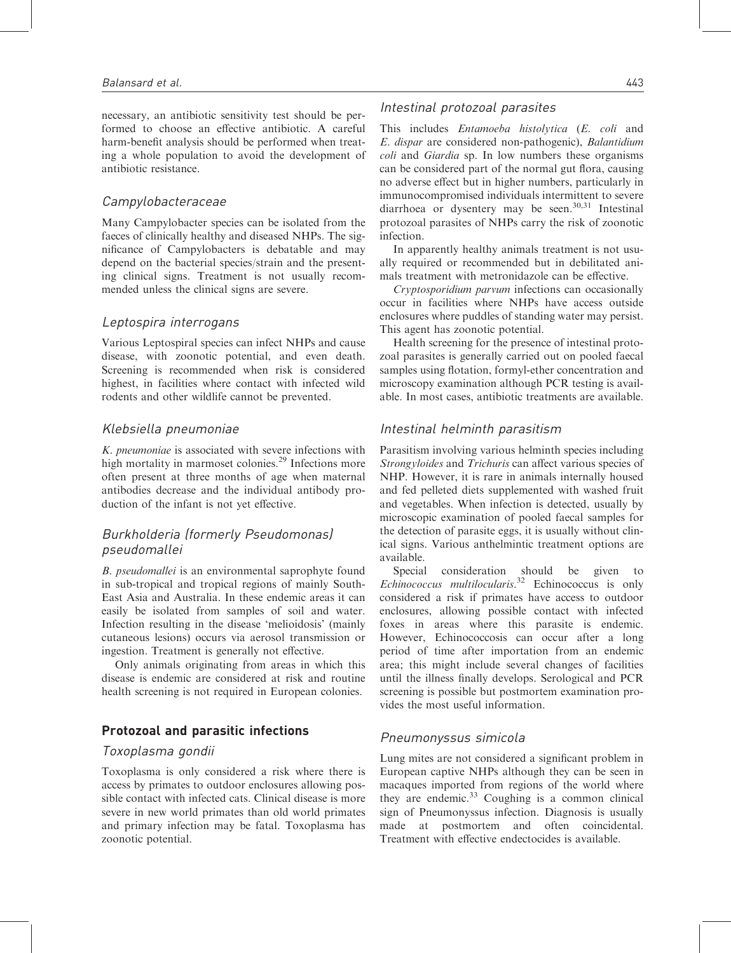necessary, an antibiotic sensitivity test should be performed to choose an effective antibiotic. A careful harm-benefit analysis should be performed when treating a whole population to avoid the development of antibiotic resistance.

## Campylobacteraceae

Many Campylobacter species can be isolated from the faeces of clinically healthy and diseased NHPs. The significance of Campylobacters is debatable and may depend on the bacterial species/strain and the presenting clinical signs. Treatment is not usually recommended unless the clinical signs are severe.

## Leptospira interrogans

Various Leptospiral species can infect NHPs and cause disease, with zoonotic potential, and even death. Screening is recommended when risk is considered highest, in facilities where contact with infected wild rodents and other wildlife cannot be prevented.

## Klebsiella pneumoniae

K. pneumoniae is associated with severe infections with high mortality in marmoset colonies.<sup>29</sup> Infections more often present at three months of age when maternal antibodies decrease and the individual antibody production of the infant is not yet effective.

# Burkholderia (formerly Pseudomonas) pseudomallei

B. pseudomallei is an environmental saprophyte found in sub-tropical and tropical regions of mainly South-East Asia and Australia. In these endemic areas it can easily be isolated from samples of soil and water. Infection resulting in the disease 'melioidosis' (mainly cutaneous lesions) occurs via aerosol transmission or ingestion. Treatment is generally not effective.

Only animals originating from areas in which this disease is endemic are considered at risk and routine health screening is not required in European colonies.

# Protozoal and parasitic infections

#### Toxoplasma gondii

Toxoplasma is only considered a risk where there is access by primates to outdoor enclosures allowing possible contact with infected cats. Clinical disease is more severe in new world primates than old world primates and primary infection may be fatal. Toxoplasma has zoonotic potential.

## Intestinal protozoal parasites

This includes Entamoeba histolytica (E. coli and E. dispar are considered non-pathogenic), Balantidium coli and Giardia sp. In low numbers these organisms can be considered part of the normal gut flora, causing no adverse effect but in higher numbers, particularly in immunocompromised individuals intermittent to severe diarrhoea or dysentery may be seen. $30,31$  Intestinal protozoal parasites of NHPs carry the risk of zoonotic infection.

In apparently healthy animals treatment is not usually required or recommended but in debilitated animals treatment with metronidazole can be effective.

Cryptosporidium parvum infections can occasionally occur in facilities where NHPs have access outside enclosures where puddles of standing water may persist. This agent has zoonotic potential.

Health screening for the presence of intestinal protozoal parasites is generally carried out on pooled faecal samples using flotation, formyl-ether concentration and microscopy examination although PCR testing is available. In most cases, antibiotic treatments are available.

## Intestinal helminth parasitism

Parasitism involving various helminth species including Strongyloides and Trichuris can affect various species of NHP. However, it is rare in animals internally housed and fed pelleted diets supplemented with washed fruit and vegetables. When infection is detected, usually by microscopic examination of pooled faecal samples for the detection of parasite eggs, it is usually without clinical signs. Various anthelmintic treatment options are available.

Special consideration should be given to Echinococcus multilocularis. <sup>32</sup> Echinococcus is only considered a risk if primates have access to outdoor enclosures, allowing possible contact with infected foxes in areas where this parasite is endemic. However, Echinococcosis can occur after a long period of time after importation from an endemic area; this might include several changes of facilities until the illness finally develops. Serological and PCR screening is possible but postmortem examination provides the most useful information.

## Pneumonyssus simicola

Lung mites are not considered a significant problem in European captive NHPs although they can be seen in macaques imported from regions of the world where they are endemic. $33$  Coughing is a common clinical sign of Pneumonyssus infection. Diagnosis is usually made at postmortem and often coincidental. Treatment with effective endectocides is available.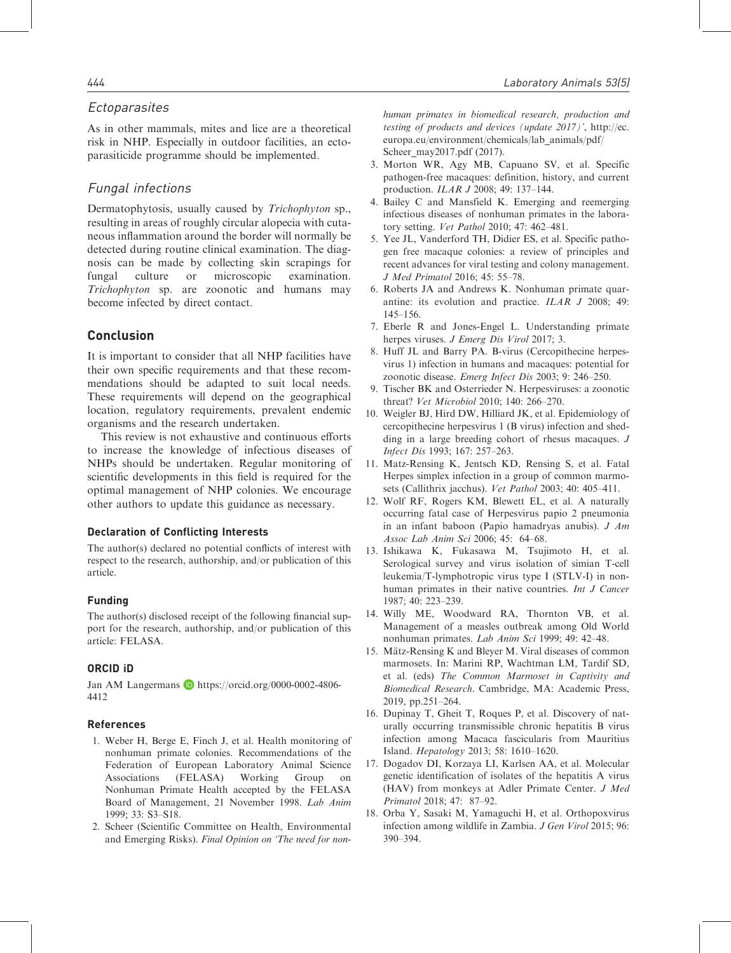## **Ectoparasites**

As in other mammals, mites and lice are a theoretical risk in NHP. Especially in outdoor facilities, an ectoparasiticide programme should be implemented.

# Fungal infections

Dermatophytosis, usually caused by Trichophyton sp., resulting in areas of roughly circular alopecia with cutaneous inflammation around the border will normally be detected during routine clinical examination. The diagnosis can be made by collecting skin scrapings for fungal culture or microscopic examination. Trichophyton sp. are zoonotic and humans may become infected by direct contact.

## Conclusion

It is important to consider that all NHP facilities have their own specific requirements and that these recommendations should be adapted to suit local needs. These requirements will depend on the geographical location, regulatory requirements, prevalent endemic organisms and the research undertaken.

This review is not exhaustive and continuous efforts to increase the knowledge of infectious diseases of NHPs should be undertaken. Regular monitoring of scientific developments in this field is required for the optimal management of NHP colonies. We encourage other authors to update this guidance as necessary.

#### Declaration of Conflicting Interests

The author(s) declared no potential conflicts of interest with respect to the research, authorship, and/or publication of this article.

#### Funding

The author(s) disclosed receipt of the following financial support for the research, authorship, and/or publication of this article: FELASA.

#### ORCID iD

Jan AM Langermans D https://orcid.org/0000-0002-4806-4412

#### References

- 1. Weber H, Berge E, Finch J, et al. Health monitoring of nonhuman primate colonies. Recommendations of the Federation of European Laboratory Animal Science Associations (FELASA) Working Group on Nonhuman Primate Health accepted by the FELASA Board of Management, 21 November 1998. Lab Anim 1999; 33: S3–S18.
- 2. Scheer (Scientific Committee on Health, Environmental and Emerging Risks). Final Opinion on 'The need for non-

human primates in biomedical research, production and testing of products and devices (update 2017)', [http://ec.](http://ec.europa.eu/environment/chemicals/lab_animals/pdf/Scheer_may2017.pdf) [europa.eu/environment/chemicals/lab\\_animals/pdf/](http://ec.europa.eu/environment/chemicals/lab_animals/pdf/Scheer_may2017.pdf) [Scheer\\_may2017.pdf](http://ec.europa.eu/environment/chemicals/lab_animals/pdf/Scheer_may2017.pdf) (2017).

- 3. Morton WR, Agy MB, Capuano SV, et al. Specific pathogen-free macaques: definition, history, and current production. ILAR J 2008; 49: 137–144.
- 4. Bailey C and Mansfield K. Emerging and reemerging infectious diseases of nonhuman primates in the laboratory setting. Vet Pathol 2010; 47: 462–481.
- 5. Yee JL, Vanderford TH, Didier ES, et al. Specific pathogen free macaque colonies: a review of principles and recent advances for viral testing and colony management. J Med Primatol 2016; 45: 55–78.
- 6. Roberts JA and Andrews K. Nonhuman primate quarantine: its evolution and practice. ILAR J 2008; 49: 145–156.
- 7. Eberle R and Jones-Engel L. Understanding primate herpes viruses. J Emerg Dis Virol 2017; 3.
- 8. Huff JL and Barry PA. B-virus (Cercopithecine herpesvirus 1) infection in humans and macaques: potential for zoonotic disease. Emerg Infect Dis 2003; 9: 246–250.
- 9. Tischer BK and Osterrieder N. Herpesviruses: a zoonotic threat? Vet Microbiol 2010; 140: 266–270.
- 10. Weigler BJ, Hird DW, Hilliard JK, et al. Epidemiology of cercopithecine herpesvirus 1 (B virus) infection and shedding in a large breeding cohort of rhesus macaques. J Infect Dis 1993; 167: 257–263.
- 11. Matz-Rensing K, Jentsch KD, Rensing S, et al. Fatal Herpes simplex infection in a group of common marmosets (Callithrix jacchus). Vet Pathol 2003; 40: 405–411.
- 12. Wolf RF, Rogers KM, Blewett EL, et al. A naturally occurring fatal case of Herpesvirus papio 2 pneumonia in an infant baboon (Papio hamadryas anubis). J Am Assoc Lab Anim Sci 2006; 45: 64–68.
- 13. Ishikawa K, Fukasawa M, Tsujimoto H, et al. Serological survey and virus isolation of simian T-cell leukemia/T-lymphotropic virus type I (STLV-I) in nonhuman primates in their native countries. Int J Cancer 1987; 40: 223–239.
- 14. Willy ME, Woodward RA, Thornton VB, et al. Management of a measles outbreak among Old World nonhuman primates. Lab Anim Sci 1999; 49: 42–48.
- 15. Mätz-Rensing K and Bleyer M. Viral diseases of common marmosets. In: Marini RP, Wachtman LM, Tardif SD, et al. (eds) The Common Marmoset in Captivity and Biomedical Research. Cambridge, MA: Academic Press, 2019, pp.251–264.
- 16. Dupinay T, Gheit T, Roques P, et al. Discovery of naturally occurring transmissible chronic hepatitis B virus infection among Macaca fascicularis from Mauritius Island. Hepatology 2013; 58: 1610–1620.
- 17. Dogadov DI, Korzaya LI, Karlsen AA, et al. Molecular genetic identification of isolates of the hepatitis A virus (HAV) from monkeys at Adler Primate Center. J Med Primatol 2018; 47: 87–92.
- 18. Orba Y, Sasaki M, Yamaguchi H, et al. Orthopoxvirus infection among wildlife in Zambia. J Gen Virol 2015; 96: 390–394.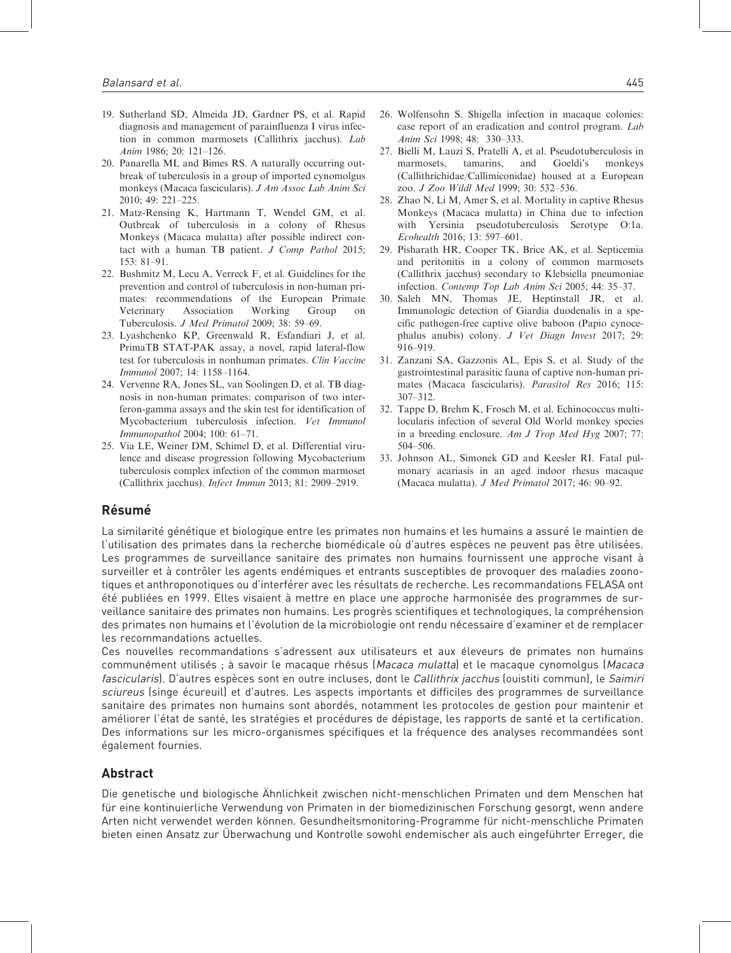- 19. Sutherland SD, Almeida JD, Gardner PS, et al. Rapid diagnosis and management of parainfluenza I virus infection in common marmosets (Callithrix jacchus). Lab Anim 1986; 20: 121–126.
- 20. Panarella ML and Bimes RS. A naturally occurring outbreak of tuberculosis in a group of imported cynomolgus monkeys (Macaca fascicularis). J Am Assoc Lab Anim Sci 2010; 49: 221–225.
- 21. Matz-Rensing K, Hartmann T, Wendel GM, et al. Outbreak of tuberculosis in a colony of Rhesus Monkeys (Macaca mulatta) after possible indirect contact with a human TB patient. J Comp Pathol 2015;  $153 \cdot 81 - 91$
- 22. Bushmitz M, Lecu A, Verreck F, et al. Guidelines for the prevention and control of tuberculosis in non-human primates: recommendations of the European Primate Veterinary Association Working Group on Tuberculosis. J Med Primatol 2009; 38: 59–69.
- 23. Lyashchenko KP, Greenwald R, Esfandiari J, et al. PrimaTB STAT-PAK assay, a novel, rapid lateral-flow test for tuberculosis in nonhuman primates. Clin Vaccine Immunol 2007; 14: 1158–1164.
- 24. Vervenne RA, Jones SL, van Soolingen D, et al. TB diagnosis in non-human primates: comparison of two interferon-gamma assays and the skin test for identification of Mycobacterium tuberculosis infection. Vet Immunol Immunopathol 2004; 100: 61–71.
- 25. Via LE, Weiner DM, Schimel D, et al. Differential virulence and disease progression following Mycobacterium tuberculosis complex infection of the common marmoset (Callithrix jacchus). Infect Immun 2013; 81: 2909–2919.
- 26. Wolfensohn S. Shigella infection in macaque colonies: case report of an eradication and control program. Lab Anim Sci 1998; 48: 330–333.
- 27. Bielli M, Lauzi S, Pratelli A, et al. Pseudotuberculosis in marmosets, tamarins, and Goeldi's monkeys (Callithrichidae/Callimiconidae) housed at a European zoo. J Zoo Wildl Med 1999; 30: 532–536.
- 28. Zhao N, Li M, Amer S, et al. Mortality in captive Rhesus Monkeys (Macaca mulatta) in China due to infection with Yersinia pseudotuberculosis Serotype O:1a. Ecohealth 2016; 13: 597–601.
- 29. Pisharath HR, Cooper TK, Brice AK, et al. Septicemia and peritonitis in a colony of common marmosets (Callithrix jacchus) secondary to Klebsiella pneumoniae infection. Contemp Top Lab Anim Sci 2005; 44: 35–37.
- 30. Saleh MN, Thomas JE, Heptinstall JR, et al. Immunologic detection of Giardia duodenalis in a specific pathogen-free captive olive baboon (Papio cynocephalus anubis) colony. J Vet Diagn Invest 2017; 29: 916–919.
- 31. Zanzani SA, Gazzonis AL, Epis S, et al. Study of the gastrointestinal parasitic fauna of captive non-human primates (Macaca fascicularis). Parasitol Res 2016; 115: 307–312.
- 32. Tappe D, Brehm K, Frosch M, et al. Echinococcus multilocularis infection of several Old World monkey species in a breeding enclosure. Am J Trop Med Hyg 2007; 77: 504–506.
- 33. Johnson AL, Simonek GD and Keesler RI. Fatal pulmonary acariasis in an aged indoor rhesus macaque (Macaca mulatta). J Med Primatol 2017; 46: 90–92.

## **Résumé**

La similarité génétique et biologique entre les primates non humains et les humains a assuré le maintien de l'utilisation des primates dans la recherche biomédicale où d'autres espèces ne peuvent pas être utilisées. Les programmes de surveillance sanitaire des primates non humains fournissent une approche visant à surveiller et à contrôler les agents endémiques et entrants susceptibles de provoquer des maladies zoonotiques et anthroponotiques ou d'interférer avec les résultats de recherche. Les recommandations FELASA ont été publiées en 1999. Elles visaient à mettre en place une approche harmonisée des programmes de surveillance sanitaire des primates non humains. Les progrès scientifiques et technologiques, la compréhension des primates non humains et l'évolution de la microbiologie ont rendu nécessaire d'examiner et de remplacer les recommandations actuelles.

Ces nouvelles recommandations s'adressent aux utilisateurs et aux éleveurs de primates non humains communément utilisés; à savoir le macaque rhésus (Macaca mulatta) et le macaque cynomolgus (Macaca fascicularis). D'autres espèces sont en outre incluses, dont le Callithrix jacchus (ouistiti commun), le Saimiri sciureus (singe écureuil) et d'autres. Les aspects importants et difficiles des programmes de surveillance sanitaire des primates non humains sont abordés, notamment les protocoles de gestion pour maintenir et amétiorer l'état de santé, les stratégies et procédures de dépistage, les rapports de santé et la certification. Des informations sur les micro-organismes spécifiques et la fréquence des analyses recommandées sont également fournies.

## Abstract

Die genetische und biologische Ähnlichkeit zwischen nicht-menschlichen Primaten und dem Menschen hat für eine kontinuierliche Verwendung von Primaten in der biomedizinischen Forschung gesorgt, wenn andere Arten nicht verwendet werden können. Gesundheitsmonitoring-Programme für nicht-menschliche Primaten bieten einen Ansatz zur Uberwachung und Kontrolle sowohl endemischer als auch eingeführter Erreger, die